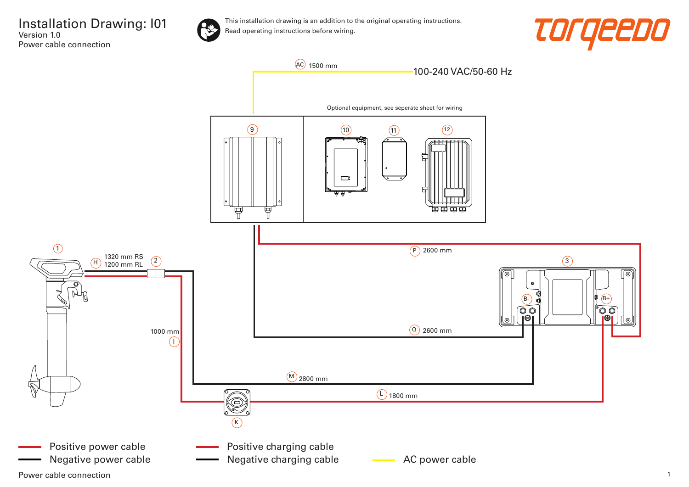



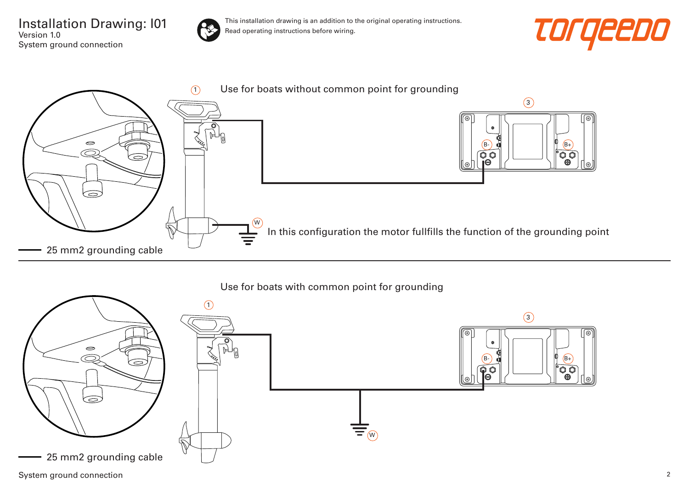Installation Drawing: I01 Version 1.0 System ground connection



This installation drawing is an addition to the original operating instructions. Read operating instructions before wiring.





## Use for boats with common point for grounding

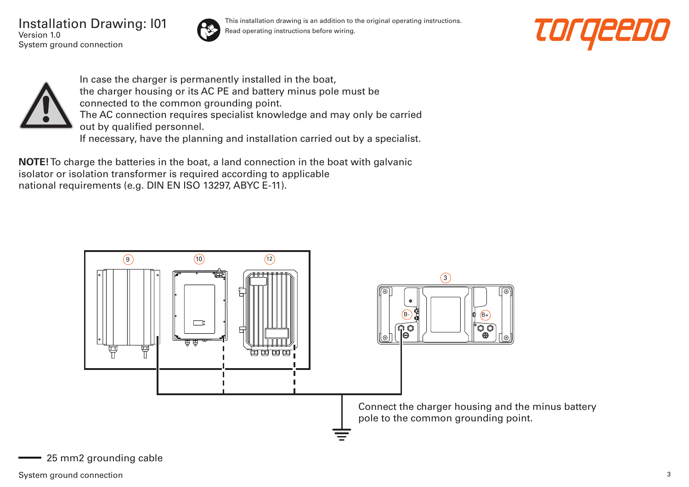Installation Drawing: I01 Version 1.0 System ground connection



This installation drawing is an addition to the original operating instructions. Read operating instructions before wiring.





In case the charger is permanently installed in the boat, the charger housing or its AC PE and battery minus pole must be connected to the common grounding point. The AC connection requires specialist knowledge and may only be carried out by qualified personnel. If necessary, have the planning and installation carried out by a specialist.

**NOTE!** To charge the batteries in the boat, a land connection in the boat with galvanic isolator or isolation transformer is required according to applicable national requirements (e.g. DIN EN ISO 13297, ABYC E-11).

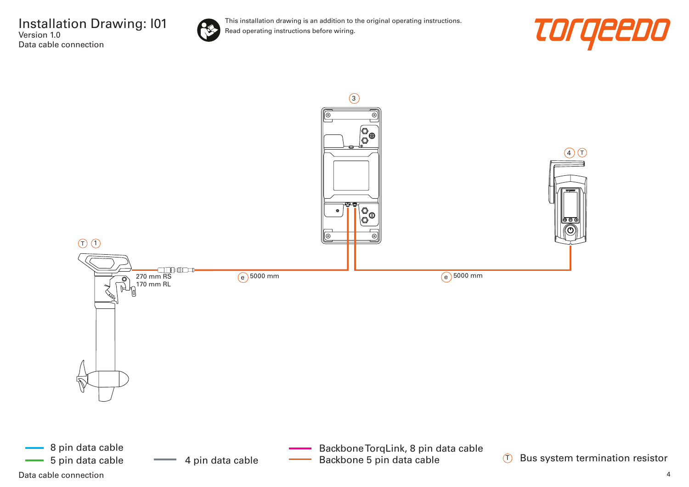



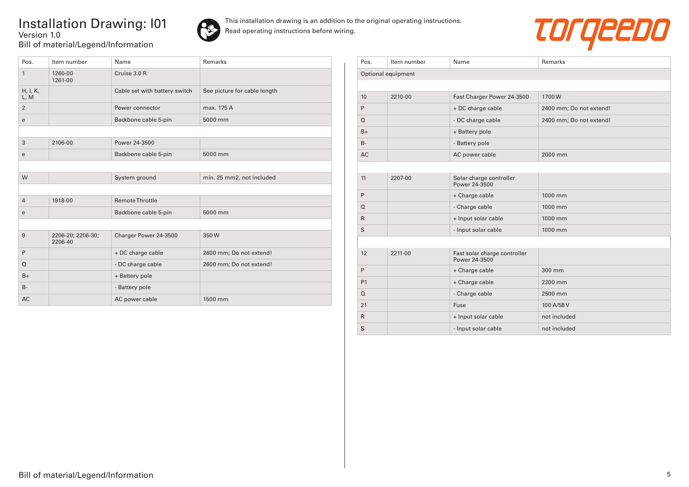## Installation Drawing: I01 Version 1.0 Bill of material/Legend/Information





| Pos.             | Item number                  | Name                          | Remarks                      |
|------------------|------------------------------|-------------------------------|------------------------------|
| $\mathbf{1}$     | 1260-00<br>1261-00           | Cruise 3.0 R                  |                              |
| H, I, K,<br>L, M |                              | Cable set with battery switch | See picture for cable length |
| $\overline{2}$   |                              | Power connector               | max. 175 A                   |
| e                |                              | Backbone cable 5-pin          | 5000 mm                      |
|                  |                              |                               |                              |
| 3                | 2106-00                      | Power 24-3500                 |                              |
| e                |                              | Backbone cable 5-pin          | 5000 mm                      |
|                  |                              |                               |                              |
| W                |                              | System ground                 | min. 25 mm2, not included    |
|                  |                              |                               |                              |
| $\overline{4}$   | 1918-00                      | <b>Remote Throttle</b>        |                              |
| e                |                              | Backbone cable 5-pin          | 5000 mm                      |
|                  |                              |                               |                              |
| 9                | 2206-20; 2206-30;<br>2206-40 | Charger Power 24-3500         | 350W                         |
| P                |                              | + DC charge cable             | 2600 mm; Do not extend!      |
| $\Omega$         |                              | - DC charge cable             | 2600 mm; Do not extend!      |
| $B+$             |                              | + Battery pole                |                              |
| $B -$            |                              | - Battery pole                |                              |
| AC.              |                              | AC power cable                | 1500 mm                      |

| Pos.               | Item number | Name                                          | Remarks                 |  |  |
|--------------------|-------------|-----------------------------------------------|-------------------------|--|--|
| Optional equipment |             |                                               |                         |  |  |
|                    |             |                                               |                         |  |  |
| 10                 | 2210-00     | Fast Charger Power 24-3500                    | 1700W                   |  |  |
| P                  |             | + DC charge cable                             | 2400 mm; Do not extend! |  |  |
| $\Omega$           |             | - DC charge cable                             | 2400 mm; Do not extend! |  |  |
| $B+$               |             | + Battery pole                                |                         |  |  |
| $B -$              |             | - Battery pole                                |                         |  |  |
| <b>AC</b>          |             | AC power cable                                | 2000 mm                 |  |  |
|                    |             |                                               |                         |  |  |
| 11                 | 2207-00     | Solar charge controller<br>Power 24-3500      |                         |  |  |
| P                  |             | + Charge cable                                | 1000 mm                 |  |  |
| $\Omega$           |             | - Charge cable                                | 1000 mm                 |  |  |
| $\mathsf{R}$       |             | + Input solar cable                           | 1000 mm                 |  |  |
| S                  |             | - Input solar cable                           | 1000 mm                 |  |  |
|                    |             |                                               |                         |  |  |
| 12                 | 2211-00     | Fast solar charge controller<br>Power 24-3500 |                         |  |  |
| P                  |             | + Charge cable                                | 300 mm                  |  |  |
| P <sub>1</sub>     |             | + Charge cable                                | 2200 mm                 |  |  |
| $\Omega$           |             | - Charge cable                                | 2500 mm                 |  |  |
| 21                 |             | Fuse                                          | 100 A/58 V              |  |  |
| $\mathsf{R}$       |             | + Input solar cable                           | not included            |  |  |
| S                  |             | - Input solar cable                           | not included            |  |  |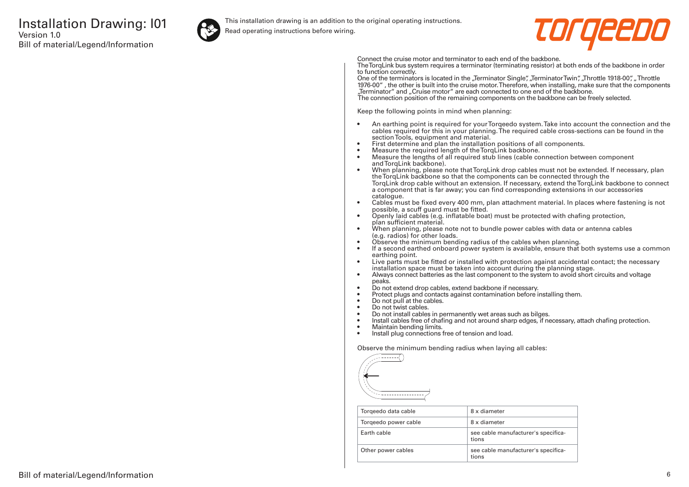

This installation drawing is an addition to the original operating instructions.

Read operating instructions before wiring.



Connect the cruise motor and terminator to each end of the backbone.

The TorqLink bus system requires a terminator (terminating resistor) at both ends of the backbone in order to function correctly.

One of the terminators is located in the "Terminator Single", "Terminator Twin", "Throttle 1918-00", "Throttle 1976-00" , the other is built into the cruise motor. Therefore, when installing, make sure that the components "Terminator" and "Cruise motor" are each connected to one end of the backbone. The connection position of the remaining components on the backbone can be freely selected.

Keep the following points in mind when planning:

- An earthing point is required for your Torqeedo system. Take into account the connection and the cables required for this in your planning. The required cable cross-sections can be found in the section Tools, equipment and material.
- First determine and plan the installation positions of all components.
- Measure the required length of the TorqLink backbone.<br>• Measure the lengths of all required stub lines (cable co
- Measure the lengths of all required stub lines (cable connection between component and TorgLink backbone).
- When planning, please note that TorqLink drop cables must not be extended. If necessary, plan the TorqLink backbone so that the components can be connected through the TorqLink drop cable without an extension. If necessary, extend the TorqLink backbone to connect a component that is far away; you can find corresponding extensions in our accessories catalogue.
- Cables must be fixed every 400 mm, plan attachment material. In places where fastening is not possible, a scuff guard must be fitted.
- Openly laid cables (e.g. inflatable boat) must be protected with chafing protection, plan sufficient material.
- When planning, please note not to bundle power cables with data or antenna cables (e.g. radios) for other loads.
- Observe the minimum bending radius of the cables when planning.
- If a second earthed onboard power system is available, ensure that both systems use a common earthing point.
- Live parts must be fitted or installed with protection against accidental contact; the necessary installation space must be taken into account during the planning stage.
- Always connect batteries as the last component to the system to avoid short circuits and voltage peaks.
- Do not extend drop cables, extend backbone if necessary.
- Protect plugs and contacts against contamination before installing them.
- Do not pull at the cables.
- Do not twist cables.
- Do not install cables in permanently wet areas such as bilges.
- Install cables free of chafing and not around sharp edges, if necessary, attach chafing protection.<br>• Maintain bending limits
- Maintain bending limits.
- Install plug connections free of tension and load.

Observe the minimum bending radius when laying all cables:



| Torgeedo data cable  | 8 x diameter                                 |
|----------------------|----------------------------------------------|
| Torgeedo power cable | 8 x diameter                                 |
| Farth cable          | see cable manufacturer's specifica-<br>tions |
| Other power cables   | see cable manufacturer's specifica-<br>tions |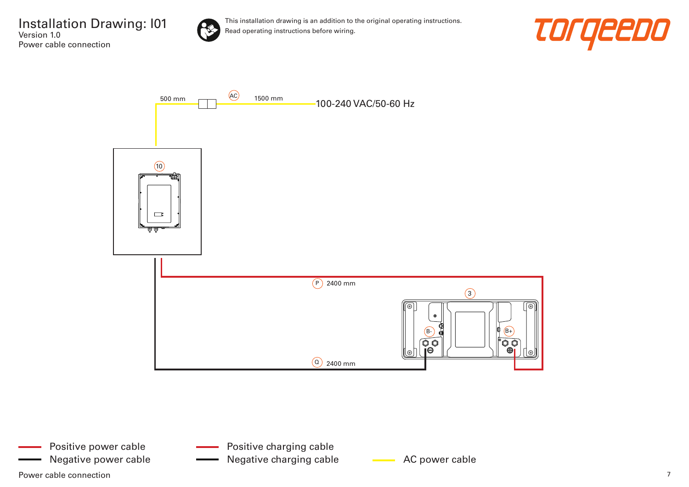





- Positive charging cable
- Negative power cable **AC AC power cable** AC power cable Negative charging cable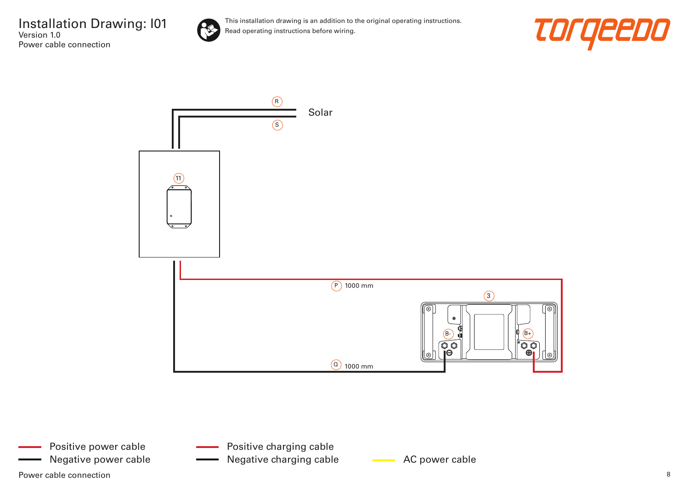

This installation drawing is an addition to the original operating instructions. Read operating instructions before wiring.





Power cable connection and the connection of the set of the set of the set of the set of the set of the set of the set of the set of the set of the set of the set of the set of the set of the set of the set of the set of t Positive power cable Negative power cable **AC AC power cable** Negative charging cable **AC** power cable

Positive charging cable